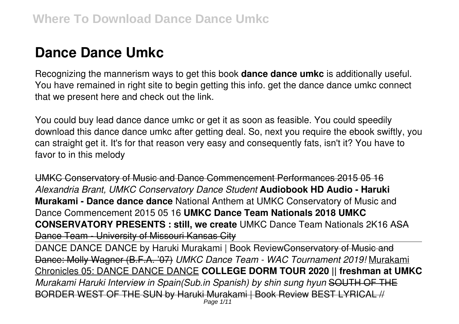# **Dance Dance Umkc**

Recognizing the mannerism ways to get this book **dance dance umkc** is additionally useful. You have remained in right site to begin getting this info. get the dance dance umkc connect that we present here and check out the link.

You could buy lead dance dance umkc or get it as soon as feasible. You could speedily download this dance dance umkc after getting deal. So, next you require the ebook swiftly, you can straight get it. It's for that reason very easy and consequently fats, isn't it? You have to favor to in this melody

UMKC Conservatory of Music and Dance Commencement Performances 2015 05 16 *Alexandria Brant, UMKC Conservatory Dance Student* **Audiobook HD Audio - Haruki Murakami - Dance dance dance** National Anthem at UMKC Conservatory of Music and Dance Commencement 2015 05 16 **UMKC Dance Team Nationals 2018 UMKC CONSERVATORY PRESENTS : still, we create** UMKC Dance Team Nationals 2K16 ASA Dance Team - University of Missouri Kansas City DANCE DANCE DANCE by Haruki Murakami | Book ReviewConservatory of Music and Dance: Molly Wagner (B.F.A. '07) *UMKC Dance Team - WAC Tournament 2019!* Murakami Chronicles 05: DANCE DANCE DANCE **COLLEGE DORM TOUR 2020 || freshman at UMKC** *Murakami Haruki Interview in Spain(Sub.in Spanish) by shin sung hyun* SOUTH OF THE

BORDER WEST OF THE SUN by Haruki Murakami | Book Review BEST LYRICAL // Page 1/11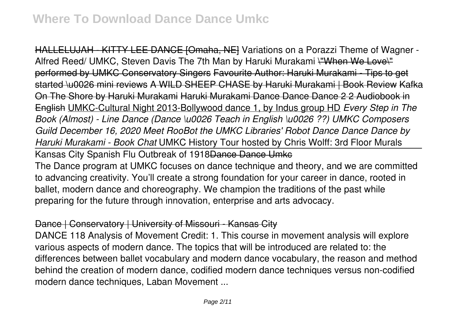HALLELUJAH - KITTY LEE DANCE [Omaha, NE] Variations on a Porazzi Theme of Wagner -Alfred Reed/ UMKC, Steven Davis The 7th Man by Haruki Murakami \"When We Love\" performed by UMKC Conservatory Singers Favourite Author: Haruki Murakami - Tips to get started \u0026 mini reviews A WILD SHEEP CHASE by Haruki Murakami | Book Review Kafka On The Shore by Haruki Murakami Haruki Murakami Dance Dance Dance 2 2 Audiobook in English UMKC-Cultural Night 2013-Bollywood dance 1, by Indus group HD *Every Step in The Book (Almost) - Line Dance (Dance \u0026 Teach in English \u0026 ??) UMKC Composers Guild December 16, 2020 Meet RooBot the UMKC Libraries' Robot Dance Dance Dance by Haruki Murakami - Book Chat* UMKC History Tour hosted by Chris Wolff: 3rd Floor Murals Kansas City Spanish Flu Outbreak of 1918 Dance Dance Umke The Dance program at UMKC focuses on dance technique and theory, and we are committed to advancing creativity. You'll create a strong foundation for your career in dance, rooted in ballet, modern dance and choreography. We champion the traditions of the past while preparing for the future through innovation, enterprise and arts advocacy.

# Dance | Conservatory | University of Missouri - Kansas City

DANCE 118 Analysis of Movement Credit: 1. This course in movement analysis will explore various aspects of modern dance. The topics that will be introduced are related to: the differences between ballet vocabulary and modern dance vocabulary, the reason and method behind the creation of modern dance, codified modern dance techniques versus non-codified modern dance techniques, Laban Movement ...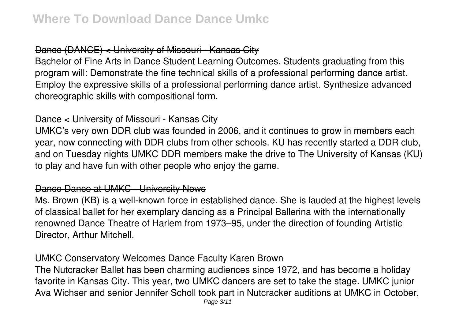# Dance (DANCE) < University of Missouri - Kansas City

Bachelor of Fine Arts in Dance Student Learning Outcomes. Students graduating from this program will: Demonstrate the fine technical skills of a professional performing dance artist. Employ the expressive skills of a professional performing dance artist. Synthesize advanced choreographic skills with compositional form.

# Dance < University of Missouri - Kansas City

UMKC's very own DDR club was founded in 2006, and it continues to grow in members each year, now connecting with DDR clubs from other schools. KU has recently started a DDR club, and on Tuesday nights UMKC DDR members make the drive to The University of Kansas (KU) to play and have fun with other people who enjoy the game.

#### Dance Dance at UMKC - University News

Ms. Brown (KB) is a well-known force in established dance. She is lauded at the highest levels of classical ballet for her exemplary dancing as a Principal Ballerina with the internationally renowned Dance Theatre of Harlem from 1973–95, under the direction of founding Artistic Director, Arthur Mitchell.

#### UMKC Conservatory Welcomes Dance Faculty Karen Brown

The Nutcracker Ballet has been charming audiences since 1972, and has become a holiday favorite in Kansas City. This year, two UMKC dancers are set to take the stage. UMKC junior Ava Wichser and senior Jennifer Scholl took part in Nutcracker auditions at UMKC in October,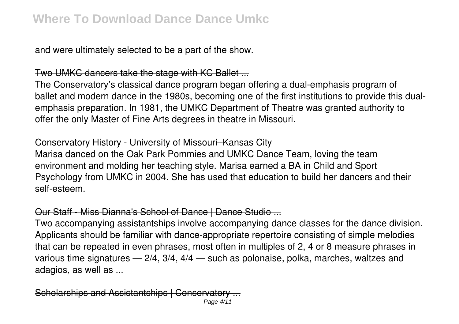and were ultimately selected to be a part of the show.

# Two UMKC dancers take the stage with KC Ballet ...

The Conservatory's classical dance program began offering a dual-emphasis program of ballet and modern dance in the 1980s, becoming one of the first institutions to provide this dualemphasis preparation. In 1981, the UMKC Department of Theatre was granted authority to offer the only Master of Fine Arts degrees in theatre in Missouri.

# Conservatory History - University of Missouri–Kansas City

Marisa danced on the Oak Park Pommies and UMKC Dance Team, loving the team environment and molding her teaching style. Marisa earned a BA in Child and Sport Psychology from UMKC in 2004. She has used that education to build her dancers and their self-esteem.

# Our Staff - Miss Dianna's School of Dance | Dance Studio ...

Two accompanying assistantships involve accompanying dance classes for the dance division. Applicants should be familiar with dance-appropriate repertoire consisting of simple melodies that can be repeated in even phrases, most often in multiples of 2, 4 or 8 measure phrases in various time signatures — 2/4, 3/4, 4/4 — such as polonaise, polka, marches, waltzes and adagios, as well as ...

Scholarships and Assistantships | Conserva Page 4/11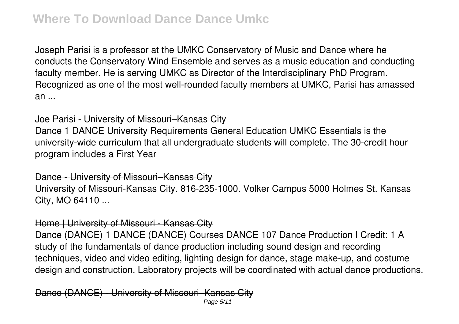Joseph Parisi is a professor at the UMKC Conservatory of Music and Dance where he conducts the Conservatory Wind Ensemble and serves as a music education and conducting faculty member. He is serving UMKC as Director of the Interdisciplinary PhD Program. Recognized as one of the most well-rounded faculty members at UMKC, Parisi has amassed an ...

#### Joe Parisi - University of Missouri–Kansas City

Dance 1 DANCE University Requirements General Education UMKC Essentials is the university-wide curriculum that all undergraduate students will complete. The 30-credit hour program includes a First Year

#### Dance - University of Missouri–Kansas City

University of Missouri-Kansas City. 816-235-1000. Volker Campus 5000 Holmes St. Kansas City, MO 64110 ...

#### Home | University of Missouri - Kansas City

Dance (DANCE) 1 DANCE (DANCE) Courses DANCE 107 Dance Production I Credit: 1 A study of the fundamentals of dance production including sound design and recording techniques, video and video editing, lighting design for dance, stage make-up, and costume design and construction. Laboratory projects will be coordinated with actual dance productions.

Dance (DANCE) - University of Missouri–Kansas City Page 5/11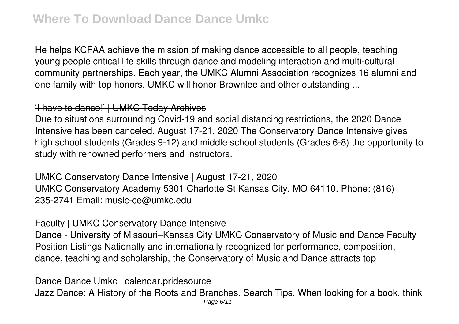He helps KCFAA achieve the mission of making dance accessible to all people, teaching young people critical life skills through dance and modeling interaction and multi-cultural community partnerships. Each year, the UMKC Alumni Association recognizes 16 alumni and one family with top honors. UMKC will honor Brownlee and other outstanding ...

# 'I have to dance!' | UMKC Today Archives

Due to situations surrounding Covid-19 and social distancing restrictions, the 2020 Dance Intensive has been canceled. August 17-21, 2020 The Conservatory Dance Intensive gives high school students (Grades 9-12) and middle school students (Grades 6-8) the opportunity to study with renowned performers and instructors.

UMKC Conservatory Dance Intensive | August 17-21, 2020 UMKC Conservatory Academy 5301 Charlotte St Kansas City, MO 64110. Phone: (816) 235-2741 Email: music-ce@umkc.edu

# Faculty | UMKC Conservatory Dance Intensive

Dance - University of Missouri–Kansas City UMKC Conservatory of Music and Dance Faculty Position Listings Nationally and internationally recognized for performance, composition, dance, teaching and scholarship, the Conservatory of Music and Dance attracts top

#### Dance Dance Umkc | calendar.pridesource

Jazz Dance: A History of the Roots and Branches. Search Tips. When looking for a book, think Page 6/11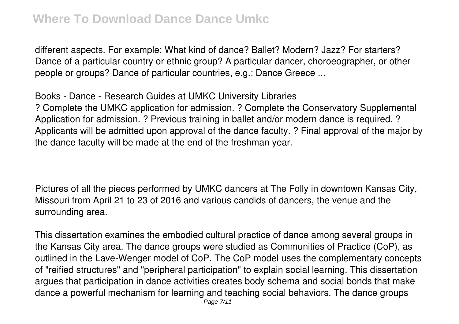different aspects. For example: What kind of dance? Ballet? Modern? Jazz? For starters? Dance of a particular country or ethnic group? A particular dancer, choroeographer, or other people or groups? Dance of particular countries, e.g.: Dance Greece ...

# Books - Dance - Research Guides at UMKC University Libraries

? Complete the UMKC application for admission. ? Complete the Conservatory Supplemental Application for admission. ? Previous training in ballet and/or modern dance is required. ? Applicants will be admitted upon approval of the dance faculty. ? Final approval of the major by the dance faculty will be made at the end of the freshman year.

Pictures of all the pieces performed by UMKC dancers at The Folly in downtown Kansas City, Missouri from April 21 to 23 of 2016 and various candids of dancers, the venue and the surrounding area.

This dissertation examines the embodied cultural practice of dance among several groups in the Kansas City area. The dance groups were studied as Communities of Practice (CoP), as outlined in the Lave-Wenger model of CoP. The CoP model uses the complementary concepts of "reified structures" and "peripheral participation" to explain social learning. This dissertation argues that participation in dance activities creates body schema and social bonds that make dance a powerful mechanism for learning and teaching social behaviors. The dance groups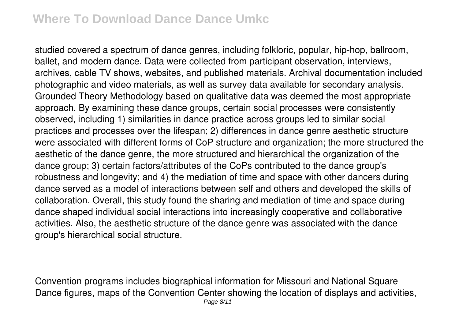# **Where To Download Dance Dance Umkc**

studied covered a spectrum of dance genres, including folkloric, popular, hip-hop, ballroom, ballet, and modern dance. Data were collected from participant observation, interviews, archives, cable TV shows, websites, and published materials. Archival documentation included photographic and video materials, as well as survey data available for secondary analysis. Grounded Theory Methodology based on qualitative data was deemed the most appropriate approach. By examining these dance groups, certain social processes were consistently observed, including 1) similarities in dance practice across groups led to similar social practices and processes over the lifespan; 2) differences in dance genre aesthetic structure were associated with different forms of CoP structure and organization; the more structured the aesthetic of the dance genre, the more structured and hierarchical the organization of the dance group; 3) certain factors/attributes of the CoPs contributed to the dance group's robustness and longevity; and 4) the mediation of time and space with other dancers during dance served as a model of interactions between self and others and developed the skills of collaboration. Overall, this study found the sharing and mediation of time and space during dance shaped individual social interactions into increasingly cooperative and collaborative activities. Also, the aesthetic structure of the dance genre was associated with the dance group's hierarchical social structure.

Convention programs includes biographical information for Missouri and National Square Dance figures, maps of the Convention Center showing the location of displays and activities, Page 8/11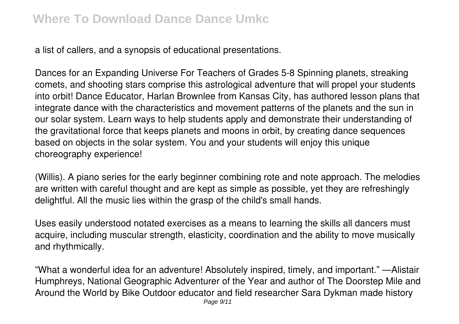a list of callers, and a synopsis of educational presentations.

Dances for an Expanding Universe For Teachers of Grades 5-8 Spinning planets, streaking comets, and shooting stars comprise this astrological adventure that will propel your students into orbit! Dance Educator, Harlan Brownlee from Kansas City, has authored lesson plans that integrate dance with the characteristics and movement patterns of the planets and the sun in our solar system. Learn ways to help students apply and demonstrate their understanding of the gravitational force that keeps planets and moons in orbit, by creating dance sequences based on objects in the solar system. You and your students will enjoy this unique choreography experience!

(Willis). A piano series for the early beginner combining rote and note approach. The melodies are written with careful thought and are kept as simple as possible, yet they are refreshingly delightful. All the music lies within the grasp of the child's small hands.

Uses easily understood notated exercises as a means to learning the skills all dancers must acquire, including muscular strength, elasticity, coordination and the ability to move musically and rhythmically.

"What a wonderful idea for an adventure! Absolutely inspired, timely, and important." —Alistair Humphreys, National Geographic Adventurer of the Year and author of The Doorstep Mile and Around the World by Bike Outdoor educator and field researcher Sara Dykman made history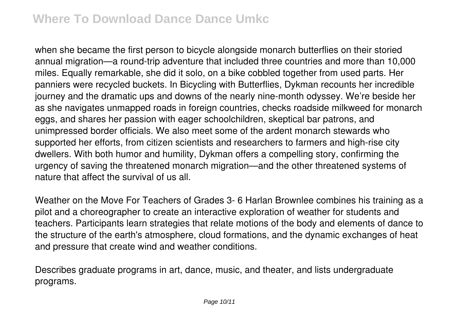when she became the first person to bicycle alongside monarch butterflies on their storied annual migration—a round-trip adventure that included three countries and more than 10,000 miles. Equally remarkable, she did it solo, on a bike cobbled together from used parts. Her panniers were recycled buckets. In Bicycling with Butterflies, Dykman recounts her incredible journey and the dramatic ups and downs of the nearly nine-month odyssey. We're beside her as she navigates unmapped roads in foreign countries, checks roadside milkweed for monarch eggs, and shares her passion with eager schoolchildren, skeptical bar patrons, and unimpressed border officials. We also meet some of the ardent monarch stewards who supported her efforts, from citizen scientists and researchers to farmers and high-rise city dwellers. With both humor and humility, Dykman offers a compelling story, confirming the urgency of saving the threatened monarch migration—and the other threatened systems of nature that affect the survival of us all.

Weather on the Move For Teachers of Grades 3- 6 Harlan Brownlee combines his training as a pilot and a choreographer to create an interactive exploration of weather for students and teachers. Participants learn strategies that relate motions of the body and elements of dance to the structure of the earth's atmosphere, cloud formations, and the dynamic exchanges of heat and pressure that create wind and weather conditions.

Describes graduate programs in art, dance, music, and theater, and lists undergraduate programs.